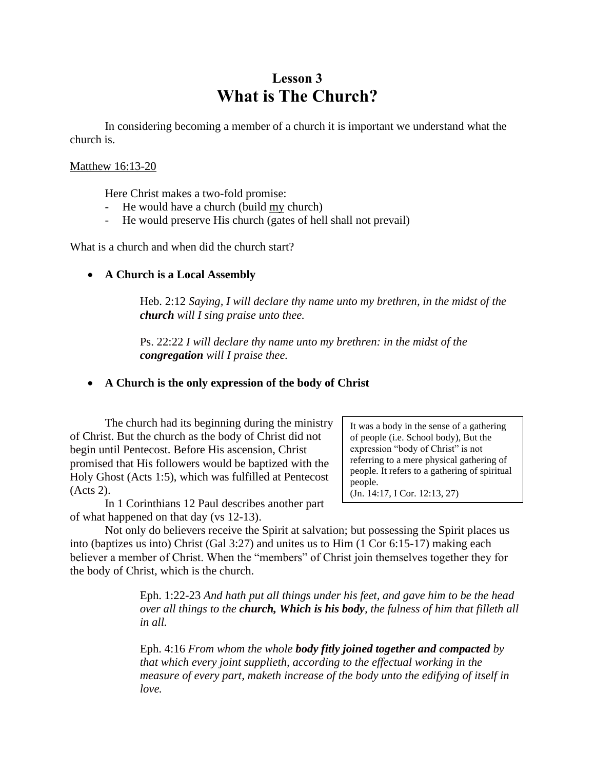# **Lesson 3 What is The Church?**

In considering becoming a member of a church it is important we understand what the church is.

### Matthew 16:13-20

Here Christ makes a two-fold promise:

- He would have a church (build my church)
- He would preserve His church (gates of hell shall not prevail)

What is a church and when did the church start?

## • **A Church is a Local Assembly**

Heb. 2:12 *Saying, I will declare thy name unto my brethren, in the midst of the church will I sing praise unto thee.*

Ps. 22:22 *I will declare thy name unto my brethren: in the midst of the congregation will I praise thee.*

## • **A Church is the only expression of the body of Christ**

The church had its beginning during the ministry of Christ. But the church as the body of Christ did not begin until Pentecost. Before His ascension, Christ promised that His followers would be baptized with the Holy Ghost (Acts 1:5), which was fulfilled at Pentecost (Acts 2).

In 1 Corinthians 12 Paul describes another part of what happened on that day (vs 12-13).

It was a body in the sense of a gathering of people (i.e. School body), But the expression "body of Christ" is not referring to a mere physical gathering of people. It refers to a gathering of spiritual people. (Jn. 14:17, I Cor. 12:13, 27)

Not only do believers receive the Spirit at salvation; but possessing the Spirit places us into (baptizes us into) Christ (Gal 3:27) and unites us to Him (1 Cor 6:15-17) making each believer a member of Christ. When the "members" of Christ join themselves together they for the body of Christ, which is the church.

> Eph. 1:22-23 *And hath put all things under his feet, and gave him to be the head over all things to the church, Which is his body, the fulness of him that filleth all in all.*

Eph. 4:16 *From whom the whole body fitly joined together and compacted by that which every joint supplieth, according to the effectual working in the measure of every part, maketh increase of the body unto the edifying of itself in love.*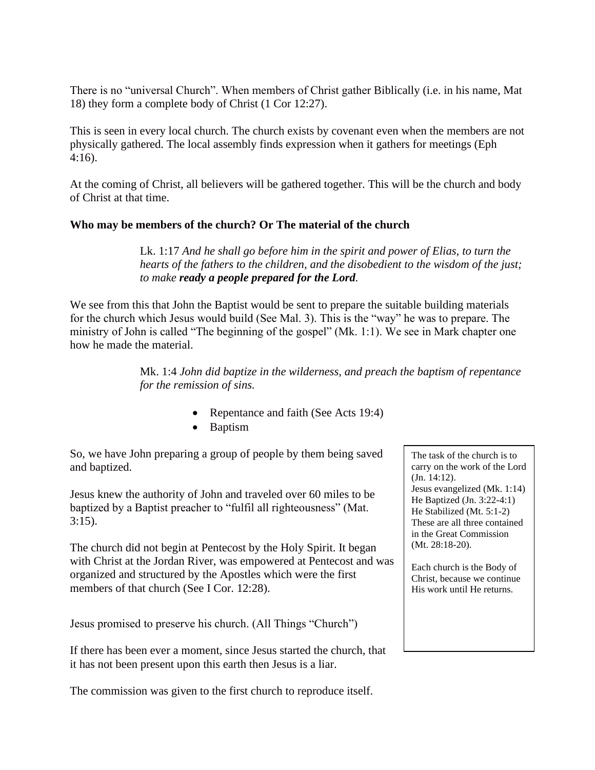There is no "universal Church". When members of Christ gather Biblically (i.e. in his name, Mat 18) they form a complete body of Christ (1 Cor 12:27).

This is seen in every local church. The church exists by covenant even when the members are not physically gathered. The local assembly finds expression when it gathers for meetings (Eph 4:16).

At the coming of Christ, all believers will be gathered together. This will be the church and body of Christ at that time.

## **Who may be members of the church? Or The material of the church**

Lk. 1:17 *And he shall go before him in the spirit and power of Elias, to turn the hearts of the fathers to the children, and the disobedient to the wisdom of the just; to make ready a people prepared for the Lord.*

We see from this that John the Baptist would be sent to prepare the suitable building materials for the church which Jesus would build (See Mal. 3). This is the "way" he was to prepare. The ministry of John is called "The beginning of the gospel" (Mk. 1:1). We see in Mark chapter one how he made the material.

> Mk. 1:4 *John did baptize in the wilderness, and preach the baptism of repentance for the remission of sins.*

- Repentance and faith (See Acts 19:4)
- Baptism

So, we have John preparing a group of people by them being saved and baptized.

Jesus knew the authority of John and traveled over 60 miles to be baptized by a Baptist preacher to "fulfil all righteousness" (Mat.  $3:15$ ).

The church did not begin at Pentecost by the Holy Spirit. It began with Christ at the Jordan River, was empowered at Pentecost and was organized and structured by the Apostles which were the first members of that church (See I Cor. 12:28).

Jesus promised to preserve his church. (All Things "Church")

If there has been ever a moment, since Jesus started the church, that it has not been present upon this earth then Jesus is a liar.

The commission was given to the first church to reproduce itself.

The task of the church is to carry on the work of the Lord (Jn. 14:12). Jesus evangelized (Mk. 1:14) He Baptized (Jn. 3:22-4:1) He Stabilized (Mt. 5:1-2) These are all three contained in the Great Commission (Mt. 28:18-20).

Each church is the Body of Christ, because we continue His work until He returns.